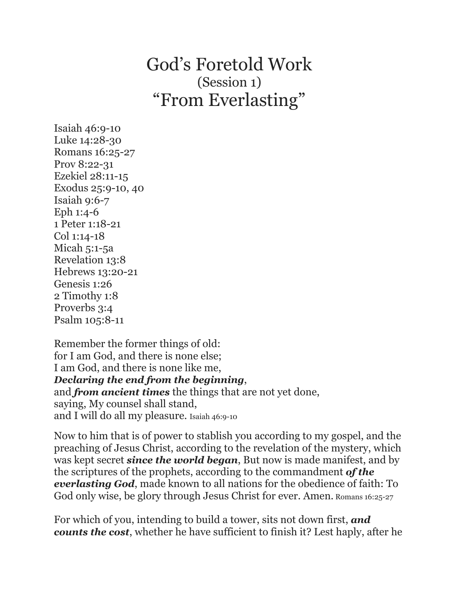## God's Foretold Work (Session 1) "From Everlasting"

Isaiah 46:9-10 Luke 14:28-30 Romans 16:25-27 Prov 8:22-31 Ezekiel 28:11-15 Exodus 25:9-10, 40 Isaiah 9:6-7 Eph 1:4-6 1 Peter 1:18-21 Col 1:14-18 Micah 5:1-5a Revelation 13:8 Hebrews 13:20-21 Genesis 1:26 2 Timothy 1:8 Proverbs 3:4 Psalm 105:8-11

Remember the former things of old: for I am God, and there is none else; I am God, and there is none like me, *Declaring the end from the beginning*, and *from ancient times* the things that are not yet done, saying, My counsel shall stand, and I will do all my pleasure. Isaiah 46:9-10

Now to him that is of power to stablish you according to my gospel, and the preaching of Jesus Christ, according to the revelation of the mystery, which was kept secret *since the world began*, But now is made manifest, and by the scriptures of the prophets, according to the commandment *of the everlasting God*, made known to all nations for the obedience of faith: To God only wise, be glory through Jesus Christ for ever. Amen. Romans 16:25-27

For which of you, intending to build a tower, sits not down first, *and counts the cost*, whether he have sufficient to finish it? Lest haply, after he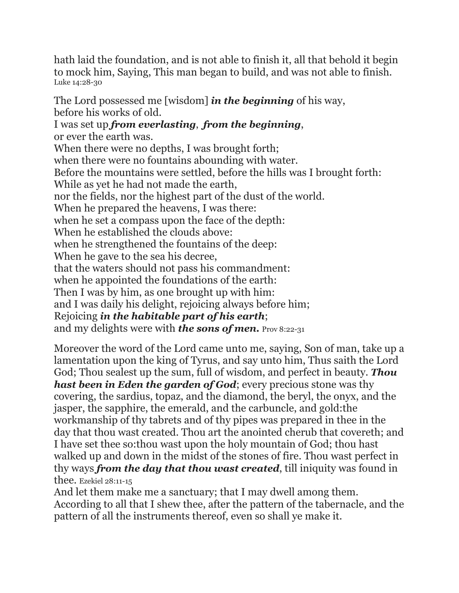hath laid the foundation, and is not able to finish it, all that behold it begin to mock him, Saying, This man began to build, and was not able to finish. Luke 14:28-30

The Lord possessed me [wisdom] *in the beginning* of his way, before his works of old. I was set up *from everlasting*, *from the beginning*, or ever the earth was. When there were no depths, I was brought forth; when there were no fountains abounding with water. Before the mountains were settled, before the hills was I brought forth: While as yet he had not made the earth, nor the fields, nor the highest part of the dust of the world. When he prepared the heavens, I was there: when he set a compass upon the face of the depth: When he established the clouds above: when he strengthened the fountains of the deep: When he gave to the sea his decree, that the waters should not pass his commandment: when he appointed the foundations of the earth: Then I was by him, as one brought up with him: and I was daily his delight, rejoicing always before him; Rejoicing *in the habitable part of his earth*; and my delights were with *the sons of men.* Prov 8:22-31

Moreover the word of the Lord came unto me, saying, Son of man, take up a lamentation upon the king of Tyrus, and say unto him, Thus saith the Lord God; Thou sealest up the sum, full of wisdom, and perfect in beauty. *Thou hast been in Eden the garden of God*; every precious stone was thy covering, the sardius, topaz, and the diamond, the beryl, the onyx, and the jasper, the sapphire, the emerald, and the carbuncle, and gold:the workmanship of thy tabrets and of thy pipes was prepared in thee in the day that thou wast created. Thou art the anointed cherub that covereth; and I have set thee so:thou wast upon the holy mountain of God; thou hast walked up and down in the midst of the stones of fire. Thou wast perfect in thy ways *from the day that thou wast created*, till iniquity was found in thee. Ezekiel 28:11-15

And let them make me a sanctuary; that I may dwell among them. According to all that I shew thee, after the pattern of the tabernacle, and the pattern of all the instruments thereof, even so shall ye make it.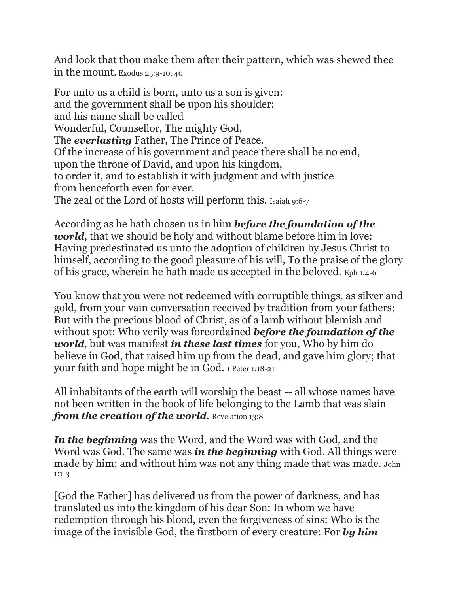And look that thou make them after their pattern, which was shewed thee in the mount. Exodus 25:9-10, 40

For unto us a child is born, unto us a son is given: and the government shall be upon his shoulder: and his name shall be called Wonderful, Counsellor, The mighty God, The *everlasting* Father, The Prince of Peace. Of the increase of his government and peace there shall be no end, upon the throne of David, and upon his kingdom, to order it, and to establish it with judgment and with justice from henceforth even for ever. The zeal of the Lord of hosts will perform this. Isaiah 9:6-7

According as he hath chosen us in him *before the foundation of the world*, that we should be holy and without blame before him in love: Having predestinated us unto the adoption of children by Jesus Christ to himself, according to the good pleasure of his will, To the praise of the glory of his grace, wherein he hath made us accepted in the beloved. Eph 1:4-6

You know that you were not redeemed with corruptible things, as silver and gold, from your vain conversation received by tradition from your fathers; But with the precious blood of Christ, as of a lamb without blemish and without spot: Who verily was foreordained *before the foundation of the world*, but was manifest *in these last times* for you, Who by him do believe in God, that raised him up from the dead, and gave him glory; that your faith and hope might be in God. 1 Peter 1:18-21

All inhabitants of the earth will worship the beast -- all whose names have not been written in the book of life belonging to the Lamb that was slain *from the creation of the world*. Revelation 13:8

*In the beginning* was the Word, and the Word was with God, and the Word was God. The same was *in the beginning* with God. All things were made by him; and without him was not any thing made that was made. John 1:1-3

[God the Father] has delivered us from the power of darkness, and has translated us into the kingdom of his dear Son: In whom we have redemption through his blood, even the forgiveness of sins: Who is the image of the invisible God, the firstborn of every creature: For *by him*